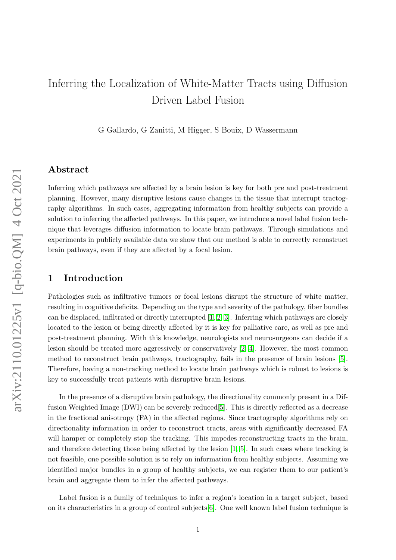# Inferring the Localization of White-Matter Tracts using Diffusion Driven Label Fusion

G Gallardo, G Zanitti, M Higger, S Bouix, D Wassermann

# Abstract

Inferring which pathways are affected by a brain lesion is key for both pre and post-treatment planning. However, many disruptive lesions cause changes in the tissue that interrupt tractography algorithms. In such cases, aggregating information from healthy subjects can provide a solution to inferring the affected pathways. In this paper, we introduce a novel label fusion technique that leverages diffusion information to locate brain pathways. Through simulations and experiments in publicly available data we show that our method is able to correctly reconstruct brain pathways, even if they are affected by a focal lesion.

# 1 Introduction

Pathologies such as infiltrative tumors or focal lesions disrupt the structure of white matter, resulting in cognitive deficits. Depending on the type and severity of the pathology, fiber bundles can be displaced, infiltrated or directly interrupted [\[1,](#page-14-0) [2,](#page-14-1) [3\]](#page-14-2). Inferring which pathways are closely located to the lesion or being directly affected by it is key for palliative care, as well as pre and post-treatment planning. With this knowledge, neurologists and neurosurgeons can decide if a lesion should be treated more aggressively or conservatively [\[2,](#page-14-1) [4\]](#page-14-3). However, the most common method to reconstruct brain pathways, tractography, fails in the presence of brain lesions [\[5\]](#page-14-4). Therefore, having a non-tracking method to locate brain pathways which is robust to lesions is key to successfully treat patients with disruptive brain lesions.

In the presence of a disruptive brain pathology, the directionality commonly present in a Diffusion Weighted Image (DWI) can be severely reduced[\[5\]](#page-14-4). This is directly reflected as a decrease in the fractional anisotropy (FA) in the affected regions. Since tractography algorithms rely on directionality information in order to reconstruct tracts, areas with significantly decreased FA will hamper or completely stop the tracking. This impedes reconstructing tracts in the brain, and therefore detecting those being affected by the lesion [\[1,](#page-14-0) [5\]](#page-14-4). In such cases where tracking is not feasible, one possible solution is to rely on information from healthy subjects. Assuming we identified major bundles in a group of healthy subjects, we can register them to our patient's brain and aggregate them to infer the affected pathways.

Label fusion is a family of techniques to infer a region's location in a target subject, based on its characteristics in a group of control subjects[\[6\]](#page-14-5). One well known label fusion technique is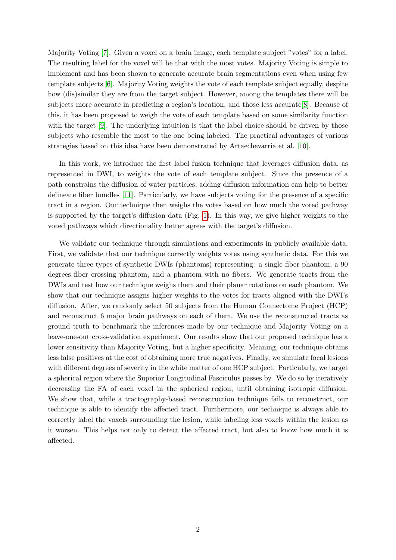Majority Voting [\[7\]](#page-14-6). Given a voxel on a brain image, each template subject "votes" for a label. The resulting label for the voxel will be that with the most votes. Majority Voting is simple to implement and has been shown to generate accurate brain segmentations even when using few template subjects [\[6\]](#page-14-5). Majority Voting weights the vote of each template subject equally, despite how (dis)similar they are from the target subject. However, among the templates there will be subjects more accurate in predicting a region's location, and those less accurate[\[8\]](#page-14-7). Because of this, it has been proposed to weigh the vote of each template based on some similarity function with the target [\[9\]](#page-14-8). The underlying intuition is that the label choice should be driven by those subjects who resemble the most to the one being labeled. The practical advantages of various strategies based on this idea have been demonstrated by Artaechevarria et al. [\[10\]](#page-14-9).

In this work, we introduce the first label fusion technique that leverages diffusion data, as represented in DWI, to weights the vote of each template subject. Since the presence of a path constrains the diffusion of water particles, adding diffusion information can help to better delineate fiber bundles [\[11\]](#page-14-10). Particularly, we have subjects voting for the presence of a specific tract in a region. Our technique then weighs the votes based on how much the voted pathway is supported by the target's diffusion data (Fig. [1\)](#page-10-0). In this way, we give higher weights to the voted pathways which directionality better agrees with the target's diffusion.

We validate our technique through simulations and experiments in publicly available data. First, we validate that our technique correctly weights votes using synthetic data. For this we generate three types of synthetic DWIs (phantoms) representing: a single fiber phantom, a 90 degrees fiber crossing phantom, and a phantom with no fibers. We generate tracts from the DWIs and test how our technique weighs them and their planar rotations on each phantom. We show that our technique assigns higher weights to the votes for tracts aligned with the DWI's diffusion. After, we randomly select 50 subjects from the Human Connectome Project (HCP) and reconstruct 6 major brain pathways on each of them. We use the reconstructed tracts as ground truth to benchmark the inferences made by our technique and Majority Voting on a leave-one-out cross-validation experiment. Our results show that our proposed technique has a lower sensitivity than Majority Voting, but a higher specificity. Meaning, our technique obtains less false positives at the cost of obtaining more true negatives. Finally, we simulate focal lesions with different degrees of severity in the white matter of one HCP subject. Particularly, we target a spherical region where the Superior Longitudinal Fasciculus passes by. We do so by iteratively decreasing the FA of each voxel in the spherical region, until obtaining isotropic diffusion. We show that, while a tractography-based reconstruction technique fails to reconstruct, our technique is able to identify the affected tract. Furthermore, our technique is always able to correctly label the voxels surrounding the lesion, while labeling less voxels within the lesion as it worsen. This helps not only to detect the affected tract, but also to know how much it is affected.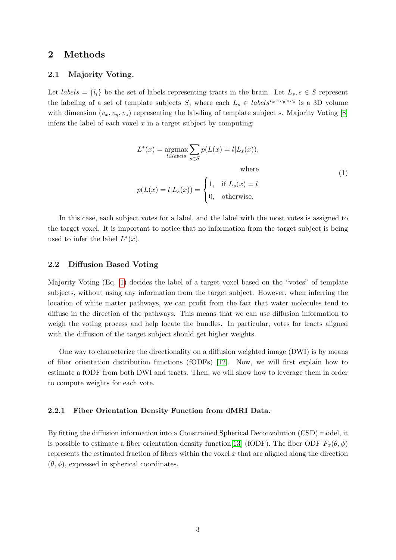## <span id="page-2-1"></span>2 Methods

## 2.1 Majority Voting.

Let  $labels = \{l_i\}$  be the set of labels representing tracts in the brain. Let  $L_s, s \in S$  represent the labeling of a set of template subjects S, where each  $L_s \in labels^{v_x \times v_y \times v_z}$  is a 3D volume with dimension  $(v_x, v_y, v_z)$  representing the labeling of template subject s. Majority Voting [\[8\]](#page-14-7) infers the label of each voxel  $x$  in a target subject by computing:

<span id="page-2-0"></span>
$$
L^*(x) = \underset{l \in labels}{\operatorname{argmax}} \sum_{s \in S} p(L(x) = l | L_s(x)),
$$
  
where  

$$
p(L(x) = l | L_s(x)) = \begin{cases} 1, & \text{if } L_s(x) = l \\ 0, & \text{otherwise.} \end{cases}
$$
 (1)

In this case, each subject votes for a label, and the label with the most votes is assigned to the target voxel. It is important to notice that no information from the target subject is being used to infer the label  $L^*(x)$ .

## 2.2 Diffusion Based Voting

Majority Voting (Eq. [1\)](#page-2-0) decides the label of a target voxel based on the "votes" of template subjects, without using any information from the target subject. However, when inferring the location of white matter pathways, we can profit from the fact that water molecules tend to diffuse in the direction of the pathways. This means that we can use diffusion information to weigh the voting process and help locate the bundles. In particular, votes for tracts aligned with the diffusion of the target subject should get higher weights.

One way to characterize the directionality on a diffusion weighted image (DWI) is by means of fiber orientation distribution functions (fODFs) [\[12\]](#page-14-11). Now, we will first explain how to estimate a fODF from both DWI and tracts. Then, we will show how to leverage them in order to compute weights for each vote.

## 2.2.1 Fiber Orientation Density Function from dMRI Data.

By fitting the diffusion information into a Constrained Spherical Deconvolution (CSD) model, it is possible to estimate a fiber orientation density function[\[13\]](#page-14-12) (fODF). The fiber ODF  $F<sub>x</sub>(\theta, \phi)$ represents the estimated fraction of fibers within the voxel  $x$  that are aligned along the direction  $(\theta, \phi)$ , expressed in spherical coordinates.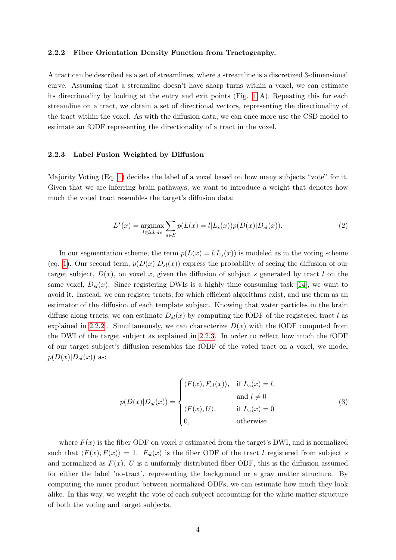#### <span id="page-3-0"></span>2.2.2 Fiber Orientation Density Function from Tractography.

A tract can be described as a set of streamlines, where a streamline is a discretized 3-dimensional curve. Assuming that a streamline doesn't have sharp turns within a voxel, we can estimate its directionality by looking at the entry and exit points (Fig. [1](#page-10-0) A). Repeating this for each streamline on a tract, we obtain a set of directional vectors, representing the directionality of the tract within the voxel. As with the diffusion data, we can once more use the CSD model to estimate an fODF representing the directionality of a tract in the voxel.

#### <span id="page-3-1"></span>2.2.3 Label Fusion Weighted by Diffusion

Majority Voting (Eq. [1\)](#page-2-0) decides the label of a voxel based on how many subjects "vote" for it. Given that we are inferring brain pathways, we want to introduce a weight that denotes how much the voted tract resembles the target's diffusion data:

<span id="page-3-2"></span>
$$
L^*(x) = \underset{l \in labels}{\text{argmax}} \sum_{s \in S} p(L(x) = l | L_s(x)) p(D(x) | D_{sl}(x)).
$$
 (2)

In our segmentation scheme, the term  $p(L(x) = l|L_s(x))$  is modeled as in the voting scheme (eq. [1\)](#page-2-0). Our second term,  $p(D(x)|D_{sl}(x))$  express the probability of seeing the diffusion of our target subject,  $D(x)$ , on voxel x, given the diffusion of subject s generated by tract l on the same voxel,  $D_{sl}(x)$ . Since registering DWIs is a highly time consuming task [\[14\]](#page-15-0), we want to avoid it. Instead, we can register tracts, for which efficient algorithms exist, and use them as an estimator of the diffusion of each template subject. Knowing that water particles in the brain diffuse along tracts, we can estimate  $D_{sl}(x)$  by computing the fODF of the registered tract l as explained in [2.2.2](#page-3-0). Simultaneously, we can characterize  $D(x)$  with the fODF computed from the DWI of the target subject as explained in [2.2.3.](#page-3-1) In order to reflect how much the fODF of our target subject's diffusion resembles the fODF of the voted tract on a voxel, we model  $p(D(x)|D_{sl}(x))$  as:

<span id="page-3-3"></span>
$$
p(D(x)|D_{sl}(x)) = \begin{cases} \langle F(x), F_{sl}(x) \rangle, & \text{if } L_s(x) = l, \\ & \text{and } l \neq 0 \\ \langle F(x), U \rangle, & \text{if } L_s(x) = 0 \\ 0, & \text{otherwise} \end{cases}
$$
 (3)

where  $F(x)$  is the fiber ODF on voxel x estimated from the target's DWI, and is normalized such that  $\langle F(x), F(x)\rangle = 1$ .  $F_{sl}(x)$  is the fiber ODF of the tract l registered from subject s and normalized as  $F(x)$ . U is a uniformly distributed fiber ODF, this is the diffusion assumed for either the label 'no-tract', representing the background or a gray matter structure. By computing the inner product between normalized ODFs, we can estimate how much they look alike. In this way, we weight the vote of each subject accounting for the white-matter structure of both the voting and target subjects.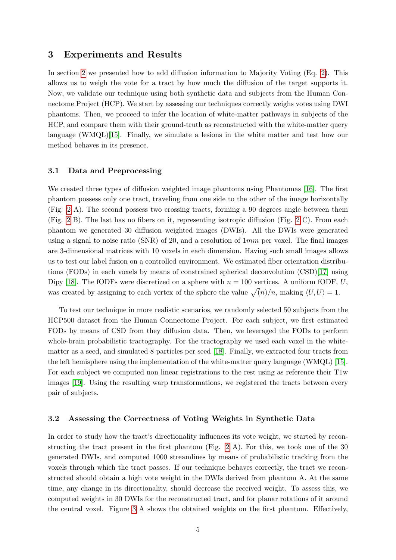## 3 Experiments and Results

In section [2](#page-2-1) we presented how to add diffusion information to Majority Voting (Eq. [2\)](#page-3-2). This allows us to weigh the vote for a tract by how much the diffusion of the target supports it. Now, we validate our technique using both synthetic data and subjects from the Human Connectome Project (HCP). We start by assessing our techniques correctly weighs votes using DWI phantoms. Then, we proceed to infer the location of white-matter pathways in subjects of the HCP, and compare them with their ground-truth as reconstructed with the white-matter query language (WMQL)[\[15\]](#page-15-1). Finally, we simulate a lesions in the white matter and test how our method behaves in its presence.

## 3.1 Data and Preprocessing

We created three types of diffusion weighted image phantoms using Phantomas [\[16\]](#page-15-2). The first phantom possess only one tract, traveling from one side to the other of the image horizontally (Fig. [2](#page-11-0) A). The second possess two crossing tracts, forming a 90 degrees angle between them (Fig. [2](#page-11-0) B). The last has no fibers on it, representing isotropic diffusion (Fig. [2](#page-11-0) C). From each phantom we generated 30 diffusion weighted images (DWIs). All the DWIs were generated using a signal to noise ratio (SNR) of 20, and a resolution of  $1mm$  per voxel. The final images are 3-dimensional matrices with 10 voxels in each dimension. Having such small images allows us to test our label fusion on a controlled environment. We estimated fiber orientation distributions (FODs) in each voxels by means of constrained spherical deconvolution (CSD)[\[17\]](#page-15-3) using Dipy [\[18\]](#page-15-4). The fODFs were discretized on a sphere with  $n = 100$  vertices. A uniform fODF, U, was created by assigning to each vertex of the sphere the value  $\sqrt{\langle n \rangle /n}$ , making  $\langle U, U \rangle = 1$ .

To test our technique in more realistic scenarios, we randomly selected 50 subjects from the HCP500 dataset from the Human Connectome Project. For each subject, we first estimated FODs by means of CSD from they diffusion data. Then, we leveraged the FODs to perform whole-brain probabilistic tractography. For the tractography we used each voxel in the whitematter as a seed, and simulated 8 particles per seed [\[18\]](#page-15-4). Finally, we extracted four tracts from the left hemisphere using the implementation of the white-matter query language (WMQL) [\[15\]](#page-15-1). For each subject we computed non linear registrations to the rest using as reference their T1w images [\[19\]](#page-15-5). Using the resulting warp transformations, we registered the tracts between every pair of subjects.

#### 3.2 Assessing the Correctness of Voting Weights in Synthetic Data

In order to study how the tract's directionality influences its vote weight, we started by reconstructing the tract present in the first phantom (Fig. [2](#page-11-0) A). For this, we took one of the 30 generated DWIs, and computed 1000 streamlines by means of probabilistic tracking from the voxels through which the tract passes. If our technique behaves correctly, the tract we reconstructed should obtain a high vote weight in the DWIs derived from phantom A. At the same time, any change in its directionality, should decrease the received weight. To assess this, we computed weights in 30 DWIs for the reconstructed tract, and for planar rotations of it around the central voxel. Figure [3](#page-12-0) A shows the obtained weights on the first phantom. Effectively,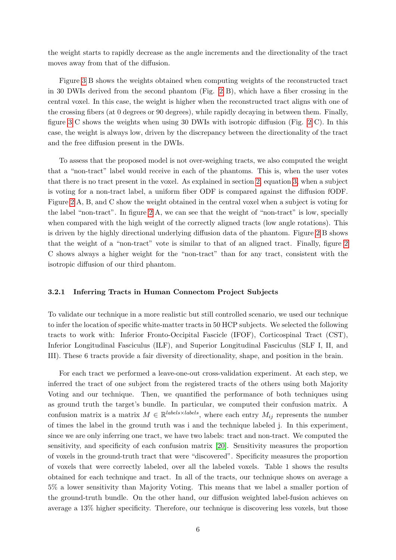the weight starts to rapidly decrease as the angle increments and the directionality of the tract moves away from that of the diffusion.

Figure [3](#page-12-0) B shows the weights obtained when computing weights of the reconstructed tract in 30 DWIs derived from the second phantom (Fig. [2](#page-11-0) B), which have a fiber crossing in the central voxel. In this case, the weight is higher when the reconstructed tract aligns with one of the crossing fibers (at 0 degrees or 90 degrees), while rapidly decaying in between them. Finally, figure [3](#page-12-0) C shows the weights when using 30 DWIs with isotropic diffusion (Fig. [2](#page-11-0) C). In this case, the weight is always low, driven by the discrepancy between the directionality of the tract and the free diffusion present in the DWIs.

To assess that the proposed model is not over-weighing tracts, we also computed the weight that a "non-tract" label would receive in each of the phantoms. This is, when the user votes that there is no tract present in the voxel. As explained in section [2,](#page-2-1) equation [3,](#page-3-3) when a subject is voting for a non-tract label, a uniform fiber ODF is compared against the diffusion fODF. Figure [2](#page-11-0) A, B, and C show the weight obtained in the central voxel when a subject is voting for the label "non-tract". In figure [2](#page-11-0) A, we can see that the weight of "non-tract" is low, specially when compared with the high weight of the correctly aligned tracts (low angle rotations). This is driven by the highly directional underlying diffusion data of the phantom. Figure [2](#page-11-0) B shows that the weight of a "non-tract" vote is similar to that of an aligned tract. Finally, figure [2](#page-11-0) C shows always a higher weight for the "non-tract" than for any tract, consistent with the isotropic diffusion of our third phantom.

#### 3.2.1 Inferring Tracts in Human Connectom Project Subjects

To validate our technique in a more realistic but still controlled scenario, we used our technique to infer the location of specific white-matter tracts in 50 HCP subjects. We selected the following tracts to work with: Inferior Fronto-Occipital Fascicle (IFOF), Corticospinal Tract (CST), Inferior Longitudinal Fasciculus (ILF), and Superior Longitudinal Fasciculus (SLF I, II, and III). These 6 tracts provide a fair diversity of directionality, shape, and position in the brain.

For each tract we performed a leave-one-out cross-validation experiment. At each step, we inferred the tract of one subject from the registered tracts of the others using both Majority Voting and our technique. Then, we quantified the performance of both techniques using as ground truth the target's bundle. In particular, we computed their confusion matrix. A confusion matrix is a matrix  $M \in \mathbb{R}^{labels \times labels}$ , where each entry  $M_{ij}$  represents the number of times the label in the ground truth was i and the technique labeled j. In this experiment, since we are only inferring one tract, we have two labels: tract and non-tract. We computed the sensitivity, and specificity of each confusion matrix [\[20\]](#page-15-6). Sensitivity measures the proportion of voxels in the ground-truth tract that were "discovered". Specificity measures the proportion of voxels that were correctly labeled, over all the labeled voxels. Table 1 shows the results obtained for each technique and tract. In all of the tracts, our technique shows on average a 5% a lower sensitivity than Majority Voting. This means that we label a smaller portion of the ground-truth bundle. On the other hand, our diffusion weighted label-fusion achieves on average a 13% higher specificity. Therefore, our technique is discovering less voxels, but those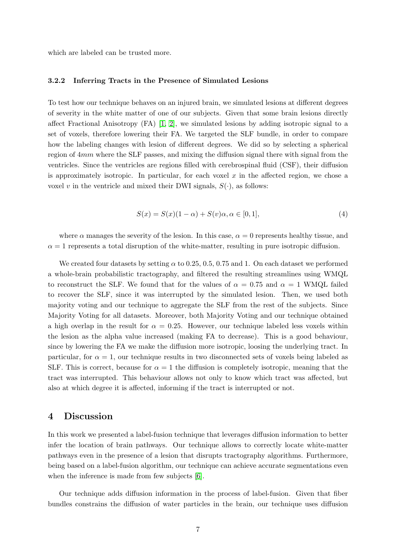which are labeled can be trusted more.

#### 3.2.2 Inferring Tracts in the Presence of Simulated Lesions

To test how our technique behaves on an injured brain, we simulated lesions at different degrees of severity in the white matter of one of our subjects. Given that some brain lesions directly affect Fractional Anisotropy  $(FA)$  [\[1,](#page-14-0) [2\]](#page-14-1), we simulated lesions by adding isotropic signal to a set of voxels, therefore lowering their FA. We targeted the SLF bundle, in order to compare how the labeling changes with lesion of different degrees. We did so by selecting a spherical region of 4mm where the SLF passes, and mixing the diffusion signal there with signal from the ventricles. Since the ventricles are regions filled with cerebrospinal fluid (CSF), their diffusion is approximately isotropic. In particular, for each voxel  $x$  in the affected region, we chose a voxel v in the ventricle and mixed their DWI signals,  $S(\cdot)$ , as follows:

<span id="page-6-0"></span>
$$
S(x) = S(x)(1 - \alpha) + S(v)\alpha, \alpha \in [0, 1],
$$
\n(4)

where  $\alpha$  manages the severity of the lesion. In this case,  $\alpha = 0$  represents healthy tissue, and  $\alpha = 1$  represents a total disruption of the white-matter, resulting in pure isotropic diffusion.

We created four datasets by setting  $\alpha$  to 0.25, 0.5, 0.75 and 1. On each dataset we performed a whole-brain probabilistic tractography, and filtered the resulting streamlines using WMQL to reconstruct the SLF. We found that for the values of  $\alpha = 0.75$  and  $\alpha = 1$  WMQL failed to recover the SLF, since it was interrupted by the simulated lesion. Then, we used both majority voting and our technique to aggregate the SLF from the rest of the subjects. Since Majority Voting for all datasets. Moreover, both Majority Voting and our technique obtained a high overlap in the result for  $\alpha = 0.25$ . However, our technique labeled less voxels within the lesion as the alpha value increased (making FA to decrease). This is a good behaviour, since by lowering the FA we make the diffusion more isotropic, loosing the underlying tract. In particular, for  $\alpha = 1$ , our technique results in two disconnected sets of voxels being labeled as SLF. This is correct, because for  $\alpha = 1$  the diffusion is completely isotropic, meaning that the tract was interrupted. This behaviour allows not only to know which tract was affected, but also at which degree it is affected, informing if the tract is interrupted or not.

## 4 Discussion

In this work we presented a label-fusion technique that leverages diffusion information to better infer the location of brain pathways. Our technique allows to correctly locate white-matter pathways even in the presence of a lesion that disrupts tractography algorithms. Furthermore, being based on a label-fusion algorithm, our technique can achieve accurate segmentations even when the inference is made from few subjects  $[6]$ .

Our technique adds diffusion information in the process of label-fusion. Given that fiber bundles constrains the diffusion of water particles in the brain, our technique uses diffusion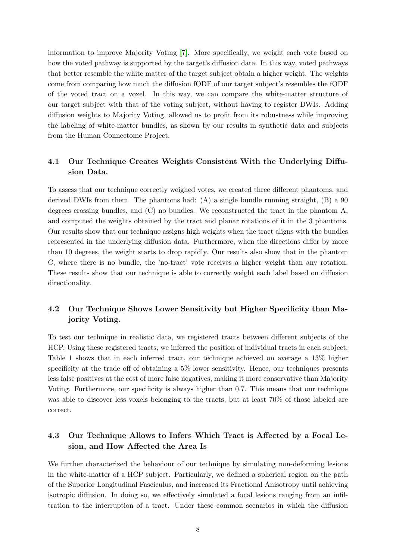information to improve Majority Voting [\[7\]](#page-14-6). More specifically, we weight each vote based on how the voted pathway is supported by the target's diffusion data. In this way, voted pathways that better resemble the white matter of the target subject obtain a higher weight. The weights come from comparing how much the diffusion fODF of our target subject's resembles the fODF of the voted tract on a voxel. In this way, we can compare the white-matter structure of our target subject with that of the voting subject, without having to register DWIs. Adding diffusion weights to Majority Voting, allowed us to profit from its robustness while improving the labeling of white-matter bundles, as shown by our results in synthetic data and subjects from the Human Connectome Project.

## 4.1 Our Technique Creates Weights Consistent With the Underlying Diffusion Data.

To assess that our technique correctly weighed votes, we created three different phantoms, and derived DWIs from them. The phantoms had: (A) a single bundle running straight, (B) a 90 degrees crossing bundles, and  $(C)$  no bundles. We reconstructed the tract in the phantom A, and computed the weights obtained by the tract and planar rotations of it in the 3 phantoms. Our results show that our technique assigns high weights when the tract aligns with the bundles represented in the underlying diffusion data. Furthermore, when the directions differ by more than 10 degrees, the weight starts to drop rapidly. Our results also show that in the phantom C, where there is no bundle, the 'no-tract' vote receives a higher weight than any rotation. These results show that our technique is able to correctly weight each label based on diffusion directionality.

# 4.2 Our Technique Shows Lower Sensitivity but Higher Specificity than Majority Voting.

To test our technique in realistic data, we registered tracts between different subjects of the HCP. Using these registered tracts, we inferred the position of individual tracts in each subject. Table 1 shows that in each inferred tract, our technique achieved on average a 13% higher specificity at the trade off of obtaining a 5% lower sensitivity. Hence, our techniques presents less false positives at the cost of more false negatives, making it more conservative than Majority Voting. Furthermore, our specificity is always higher than 0.7. This means that our technique was able to discover less voxels belonging to the tracts, but at least 70% of those labeled are correct.

# 4.3 Our Technique Allows to Infers Which Tract is Affected by a Focal Lesion, and How Affected the Area Is

We further characterized the behaviour of our technique by simulating non-deforming lesions in the white-matter of a HCP subject. Particularly, we defined a spherical region on the path of the Superior Longitudinal Fasciculus, and increased its Fractional Anisotropy until achieving isotropic diffusion. In doing so, we effectively simulated a focal lesions ranging from an infiltration to the interruption of a tract. Under these common scenarios in which the diffusion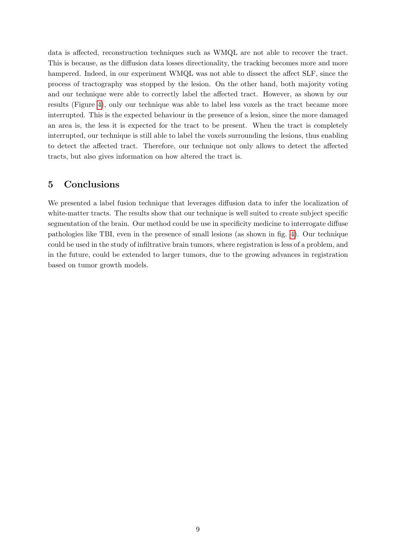data is affected, reconstruction techniques such as WMQL are not able to recover the tract. This is because, as the diffusion data losses directionality, the tracking becomes more and more hampered. Indeed, in our experiment WMQL was not able to dissect the affect SLF, since the process of tractography was stopped by the lesion. On the other hand, both majority voting and our technique were able to correctly label the affected tract. However, as shown by our results (Figure [4\)](#page-13-0), only our technique was able to label less voxels as the tract became more interrupted. This is the expected behaviour in the presence of a lesion, since the more damaged an area is, the less it is expected for the tract to be present. When the tract is completely interrupted, our technique is still able to label the voxels surrounding the lesions, thus enabling to detect the affected tract. Therefore, our technique not only allows to detect the affected tracts, but also gives information on how altered the tract is.

# 5 Conclusions

We presented a label fusion technique that leverages diffusion data to infer the localization of white-matter tracts. The results show that our technique is well suited to create subject specific segmentation of the brain. Our method could be use in specificity medicine to interrogate diffuse pathologies like TBI, even in the presence of small lesions (as shown in fig. [4\)](#page-13-0). Our technique could be used in the study of infiltrative brain tumors, where registration is less of a problem, and in the future, could be extended to larger tumors, due to the growing advances in registration based on tumor growth models.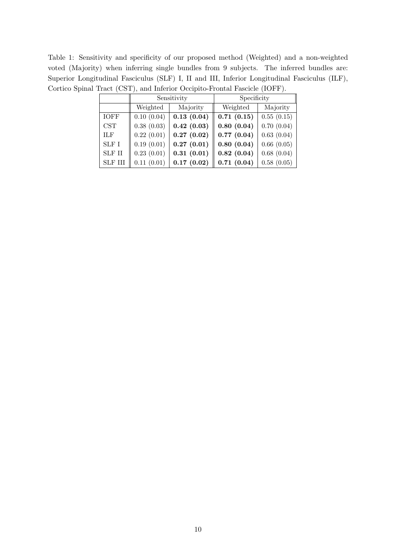Table 1: Sensitivity and specificity of our proposed method (Weighted) and a non-weighted voted (Majority) when inferring single bundles from 9 subjects. The inferred bundles are: Superior Longitudinal Fasciculus (SLF) I, II and III, Inferior Longitudinal Fasciculus (ILF), Cortico Spinal Tract (CST), and Inferior Occipito-Frontal Fascicle (IOFF).

|                | Sensitivity |            | Specificity |            |
|----------------|-------------|------------|-------------|------------|
|                | Weighted    | Majority   | Weighted    | Majority   |
| <b>IOFF</b>    | 0.10(0.04)  | 0.13(0.04) | 0.71(0.15)  | 0.55(0.15) |
| <b>CST</b>     | 0.38(0.03)  | 0.42(0.03) | 0.80(0.04)  | 0.70(0.04) |
| ILF            | 0.22(0.01)  | 0.27(0.02) | 0.77(0.04)  | 0.63(0.04) |
| SLF I          | 0.19(0.01)  | 0.27(0.01) | 0.80(0.04)  | 0.66(0.05) |
| <b>SLF II</b>  | 0.23(0.01)  | 0.31(0.01) | 0.82(0.04)  | 0.68(0.04) |
| <b>SLF III</b> | 0.11(0.01)  | 0.17(0.02) | 0.71(0.04)  | 0.58(0.05) |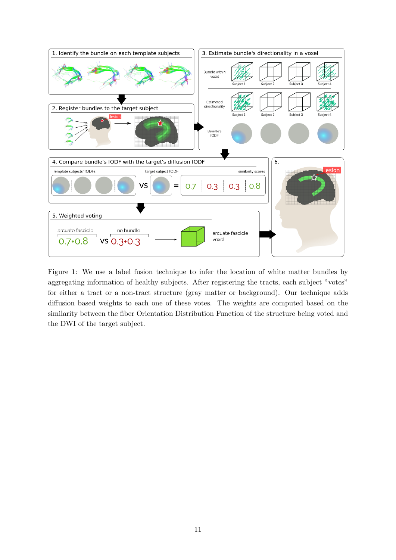

<span id="page-10-0"></span>Figure 1: We use a label fusion technique to infer the location of white matter bundles by aggregating information of healthy subjects. After registering the tracts, each subject "votes" for either a tract or a non-tract structure (gray matter or background). Our technique adds diffusion based weights to each one of these votes. The weights are computed based on the similarity between the fiber Orientation Distribution Function of the structure being voted and the DWI of the target subject.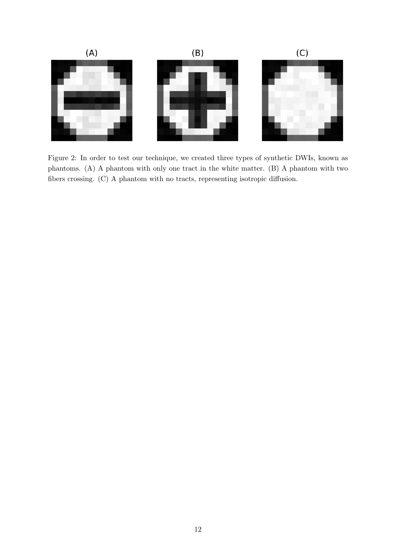

<span id="page-11-0"></span>Figure 2: In order to test our technique, we created three types of synthetic DWIs, known as phantoms. (A) A phantom with only one tract in the white matter. (B) A phantom with two fibers crossing. (C) A phantom with no tracts, representing isotropic diffusion.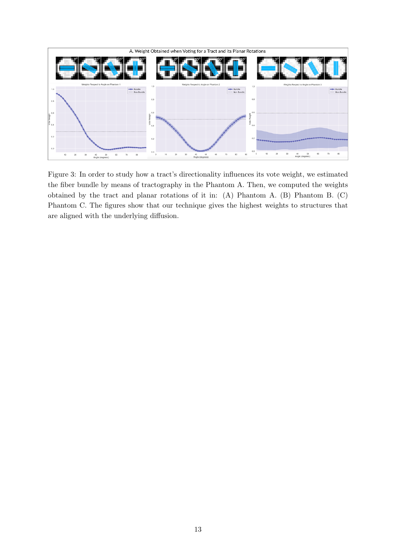

<span id="page-12-0"></span>Figure 3: In order to study how a tract's directionality influences its vote weight, we estimated the fiber bundle by means of tractography in the Phantom A. Then, we computed the weights obtained by the tract and planar rotations of it in: (A) Phantom A. (B) Phantom B. (C) Phantom C. The figures show that our technique gives the highest weights to structures that are aligned with the underlying diffusion.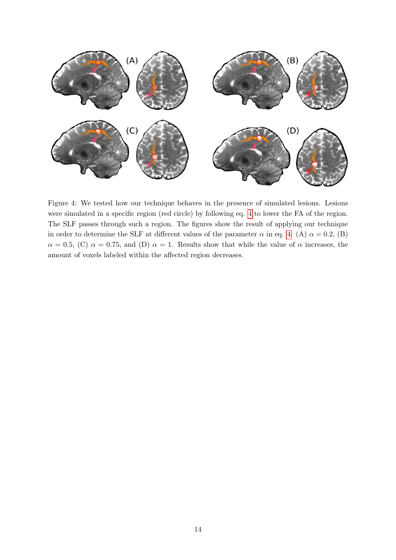

<span id="page-13-0"></span>Figure 4: We tested how our technique behaves in the presence of simulated lesions. Lesions were simulated in a specific region (red circle) by following eq. [4](#page-6-0) to lower the FA of the region. The SLF passes through such a region. The figures show the result of applying our technique in order to determine the SLF at different values of the parameter  $\alpha$  in eq. [4:](#page-6-0) (A)  $\alpha = 0.2$ , (B)  $\alpha = 0.5$ , (C)  $\alpha = 0.75$ , and (D)  $\alpha = 1$ . Results show that while the value of  $\alpha$  increases, the amount of voxels labeled within the affected region decreases.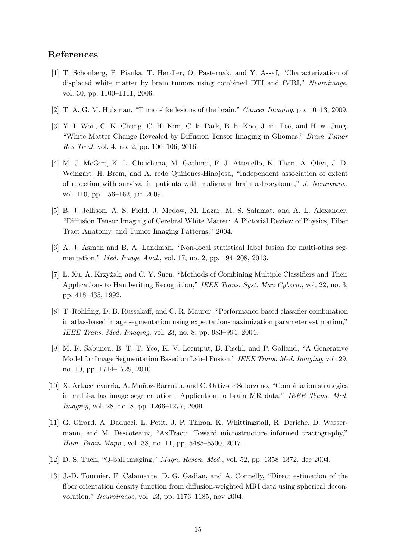# References

- <span id="page-14-0"></span>[1] T. Schonberg, P. Pianka, T. Hendler, O. Pasternak, and Y. Assaf, "Characterization of displaced white matter by brain tumors using combined DTI and fMRI," Neuroimage, vol. 30, pp. 1100–1111, 2006.
- <span id="page-14-1"></span>[2] T. A. G. M. Huisman, "Tumor-like lesions of the brain," Cancer Imaging, pp. 10–13, 2009.
- <span id="page-14-2"></span>[3] Y. I. Won, C. K. Chung, C. H. Kim, C.-k. Park, B.-b. Koo, J.-m. Lee, and H.-w. Jung, "White Matter Change Revealed by Diffusion Tensor Imaging in Gliomas," Brain Tumor Res Treat, vol. 4, no. 2, pp. 100–106, 2016.
- <span id="page-14-3"></span>[4] M. J. McGirt, K. L. Chaichana, M. Gathinji, F. J. Attenello, K. Than, A. Olivi, J. D. Weingart, H. Brem, and A. redo Quiñones-Hinojosa, "Independent association of extent of resection with survival in patients with malignant brain astrocytoma," J. Neurosurg., vol. 110, pp. 156–162, jan 2009.
- <span id="page-14-4"></span>[5] B. J. Jellison, A. S. Field, J. Medow, M. Lazar, M. S. Salamat, and A. L. Alexander, "Diffusion Tensor Imaging of Cerebral White Matter: A Pictorial Review of Physics, Fiber Tract Anatomy, and Tumor Imaging Patterns," 2004.
- <span id="page-14-5"></span>[6] A. J. Asman and B. A. Landman, "Non-local statistical label fusion for multi-atlas segmentation," Med. Image Anal., vol. 17, no. 2, pp. 194–208, 2013.
- <span id="page-14-6"></span>[7] L. Xu, A. Krzyżak, and C. Y. Suen, "Methods of Combining Multiple Classifiers and Their Applications to Handwriting Recognition," IEEE Trans. Syst. Man Cybern., vol. 22, no. 3, pp. 418–435, 1992.
- <span id="page-14-7"></span>[8] T. Rohlfing, D. B. Russakoff, and C. R. Maurer, "Performance-based classifier combination in atlas-based image segmentation using expectation-maximization parameter estimation," IEEE Trans. Med. Imaging, vol. 23, no. 8, pp. 983–994, 2004.
- <span id="page-14-8"></span>[9] M. R. Sabuncu, B. T. T. Yeo, K. V. Leemput, B. Fischl, and P. Golland, "A Generative Model for Image Segmentation Based on Label Fusion," IEEE Trans. Med. Imaging, vol. 29, no. 10, pp. 1714–1729, 2010.
- <span id="page-14-9"></span>[10] X. Artaechevarria, A. Mu˜noz-Barrutia, and C. Ortiz-de Sol´orzano, "Combination strategies in multi-atlas image segmentation: Application to brain MR data," IEEE Trans. Med. Imaging, vol. 28, no. 8, pp. 1266–1277, 2009.
- <span id="page-14-10"></span>[11] G. Girard, A. Daducci, L. Petit, J. P. Thiran, K. Whittingstall, R. Deriche, D. Wassermann, and M. Descoteaux, "AxTract: Toward microstructure informed tractography," Hum. Brain Mapp., vol. 38, no. 11, pp. 5485–5500, 2017.
- <span id="page-14-11"></span>[12] D. S. Tuch, "Q-ball imaging," Magn. Reson. Med., vol. 52, pp. 1358–1372, dec 2004.
- <span id="page-14-12"></span>[13] J.-D. Tournier, F. Calamante, D. G. Gadian, and A. Connelly, "Direct estimation of the fiber orientation density function from diffusion-weighted MRI data using spherical deconvolution," Neuroimage, vol. 23, pp. 1176–1185, nov 2004.